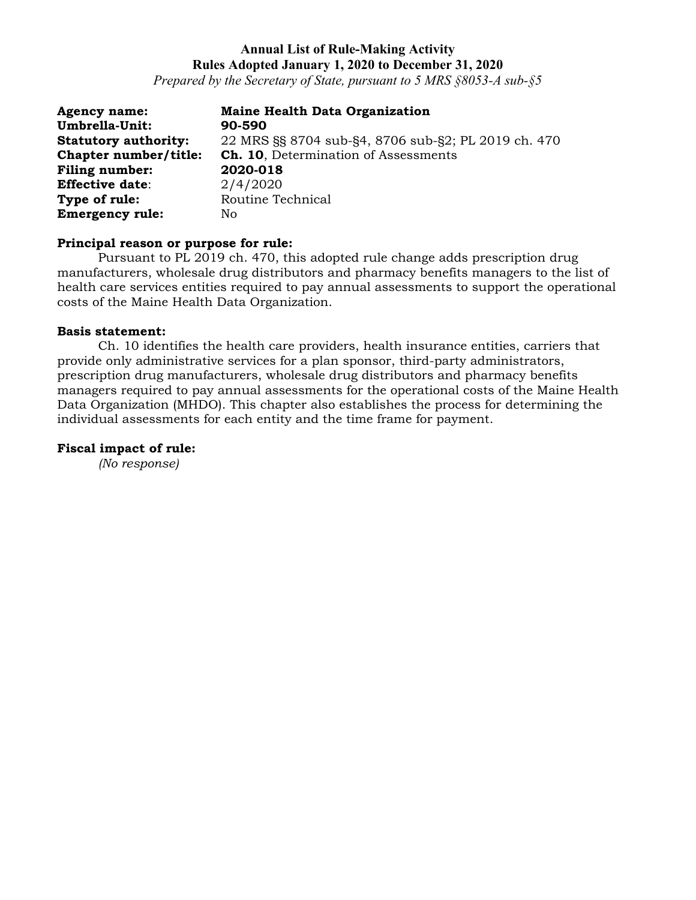*Prepared by the Secretary of State, pursuant to 5 MRS §8053-A sub-§5*

| <b>Agency name:</b>         | <b>Maine Health Data Organization</b>               |
|-----------------------------|-----------------------------------------------------|
| Umbrella-Unit:              | 90-590                                              |
| <b>Statutory authority:</b> | 22 MRS §§ 8704 sub-§4, 8706 sub-§2; PL 2019 ch. 470 |
| Chapter number/title:       | <b>Ch. 10.</b> Determination of Assessments         |
| Filing number:              | 2020-018                                            |
| <b>Effective date:</b>      | 2/4/2020                                            |
| Type of rule:               | Routine Technical                                   |
| <b>Emergency rule:</b>      | No.                                                 |

### **Principal reason or purpose for rule:**

Pursuant to PL 2019 ch. 470, this adopted rule change adds prescription drug manufacturers, wholesale drug distributors and pharmacy benefits managers to the list of health care services entities required to pay annual assessments to support the operational costs of the Maine Health Data Organization.

#### **Basis statement:**

Ch. 10 identifies the health care providers, health insurance entities, carriers that provide only administrative services for a plan sponsor, third-party administrators, prescription drug manufacturers, wholesale drug distributors and pharmacy benefits managers required to pay annual assessments for the operational costs of the Maine Health Data Organization (MHDO). This chapter also establishes the process for determining the individual assessments for each entity and the time frame for payment.

#### **Fiscal impact of rule:**

*(No response)*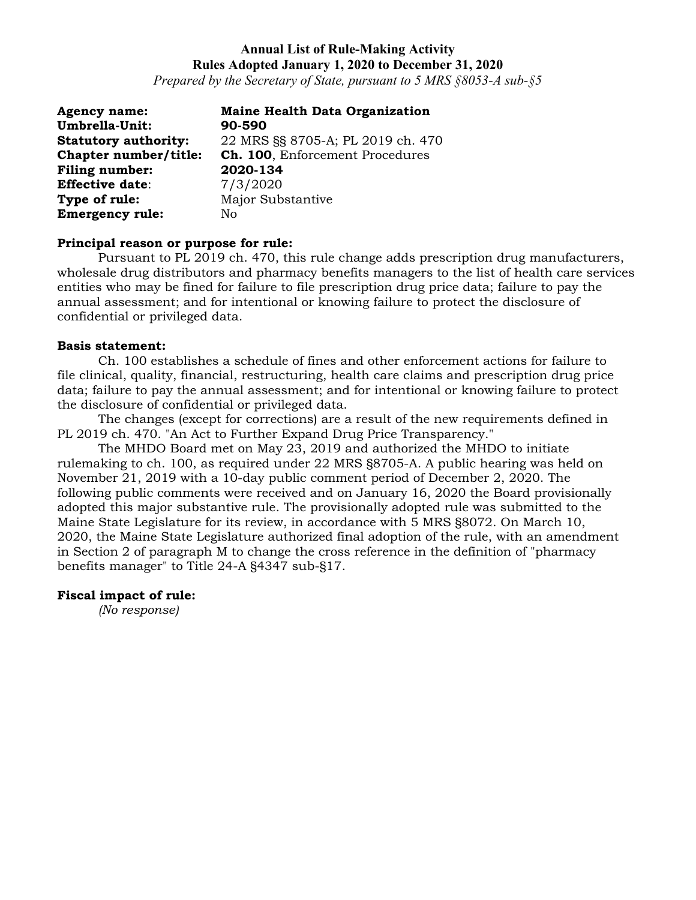*Prepared by the Secretary of State, pursuant to 5 MRS §8053-A sub-§5*

| <b>Agency name:</b>         | <b>Maine Health Data Organization</b> |
|-----------------------------|---------------------------------------|
| Umbrella-Unit:              | 90-590                                |
| <b>Statutory authority:</b> | 22 MRS §§ 8705-A; PL 2019 ch. 470     |
| Chapter number/title:       | Ch. 100, Enforcement Procedures       |
| <b>Filing number:</b>       | 2020-134                              |
| <b>Effective date:</b>      | 7/3/2020                              |
| Type of rule:               | Major Substantive                     |
| <b>Emergency rule:</b>      | No.                                   |

### **Principal reason or purpose for rule:**

Pursuant to PL 2019 ch. 470, this rule change adds prescription drug manufacturers, wholesale drug distributors and pharmacy benefits managers to the list of health care services entities who may be fined for failure to file prescription drug price data; failure to pay the annual assessment; and for intentional or knowing failure to protect the disclosure of confidential or privileged data.

#### **Basis statement:**

Ch. 100 establishes a schedule of fines and other enforcement actions for failure to file clinical, quality, financial, restructuring, health care claims and prescription drug price data; failure to pay the annual assessment; and for intentional or knowing failure to protect the disclosure of confidential or privileged data.

The changes (except for corrections) are a result of the new requirements defined in PL 2019 ch. 470. "An Act to Further Expand Drug Price Transparency."

The MHDO Board met on May 23, 2019 and authorized the MHDO to initiate rulemaking to ch. 100, as required under 22 MRS §8705-A. A public hearing was held on November 21, 2019 with a 10-day public comment period of December 2, 2020. The following public comments were received and on January 16, 2020 the Board provisionally adopted this major substantive rule. The provisionally adopted rule was submitted to the Maine State Legislature for its review, in accordance with 5 MRS §8072. On March 10, 2020, the Maine State Legislature authorized final adoption of the rule, with an amendment in Section 2 of paragraph M to change the cross reference in the definition of "pharmacy benefits manager" to Title 24-A §4347 sub-§17.

### **Fiscal impact of rule:**

*(No response)*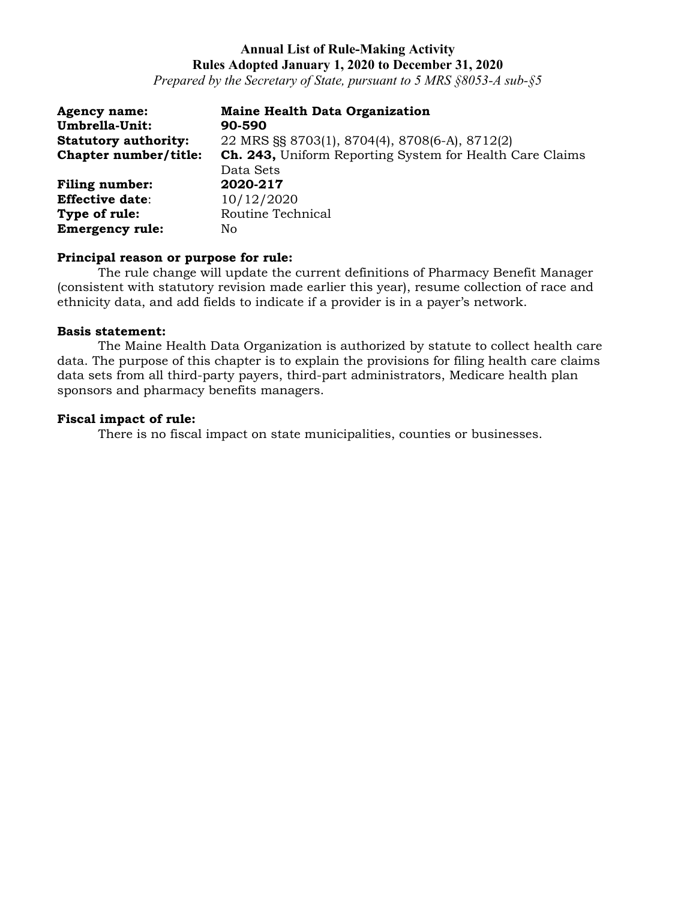*Prepared by the Secretary of State, pursuant to 5 MRS §8053-A sub-§5*

| <b>Agency name:</b><br>Umbrella-Unit: | <b>Maine Health Data Organization</b><br>90-590          |
|---------------------------------------|----------------------------------------------------------|
| <b>Statutory authority:</b>           | 22 MRS §§ 8703(1), 8704(4), 8708(6-A), 8712(2)           |
| Chapter number/title:                 | Ch. 243, Uniform Reporting System for Health Care Claims |
|                                       | Data Sets                                                |
| <b>Filing number:</b>                 | 2020-217                                                 |
| <b>Effective date:</b>                | 10/12/2020                                               |
| Type of rule:                         | Routine Technical                                        |
| <b>Emergency rule:</b>                | No.                                                      |

### **Principal reason or purpose for rule:**

The rule change will update the current definitions of Pharmacy Benefit Manager (consistent with statutory revision made earlier this year), resume collection of race and ethnicity data, and add fields to indicate if a provider is in a payer's network.

### **Basis statement:**

The Maine Health Data Organization is authorized by statute to collect health care data. The purpose of this chapter is to explain the provisions for filing health care claims data sets from all third-party payers, third-part administrators, Medicare health plan sponsors and pharmacy benefits managers.

### **Fiscal impact of rule:**

There is no fiscal impact on state municipalities, counties or businesses.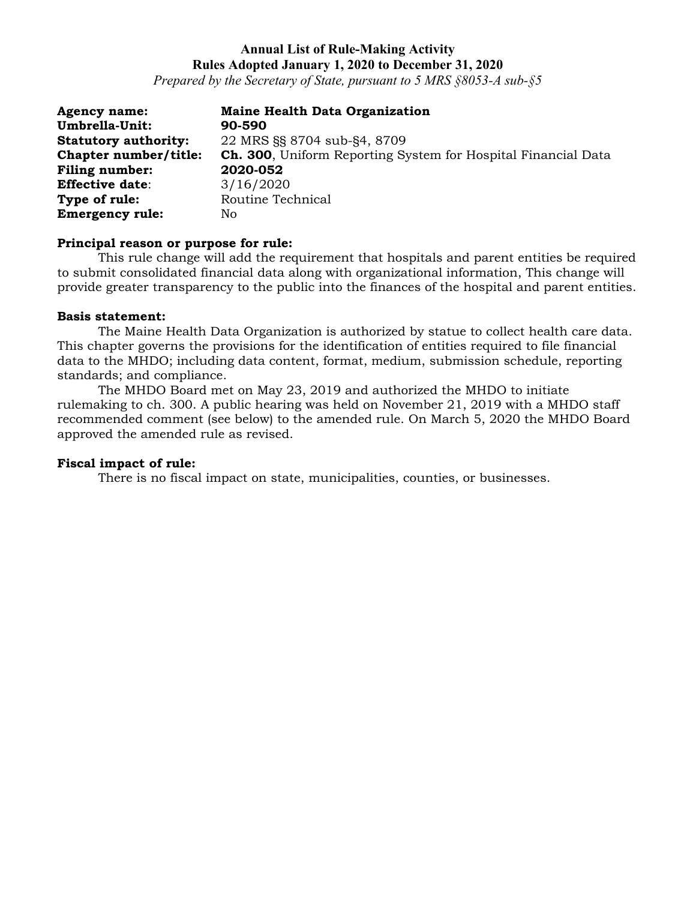*Prepared by the Secretary of State, pursuant to 5 MRS §8053-A sub-§5*

| <b>Agency name:</b>         | <b>Maine Health Data Organization</b>                         |
|-----------------------------|---------------------------------------------------------------|
| Umbrella-Unit:              | 90-590                                                        |
| <b>Statutory authority:</b> | 22 MRS §§ 8704 sub-§4, 8709                                   |
| Chapter number/title:       | Ch. 300, Uniform Reporting System for Hospital Financial Data |
| Filing number:              | 2020-052                                                      |
| <b>Effective date:</b>      | 3/16/2020                                                     |
| Type of rule:               | Routine Technical                                             |
| <b>Emergency rule:</b>      | No                                                            |

### **Principal reason or purpose for rule:**

This rule change will add the requirement that hospitals and parent entities be required to submit consolidated financial data along with organizational information, This change will provide greater transparency to the public into the finances of the hospital and parent entities.

#### **Basis statement:**

The Maine Health Data Organization is authorized by statue to collect health care data. This chapter governs the provisions for the identification of entities required to file financial data to the MHDO; including data content, format, medium, submission schedule, reporting standards; and compliance.

The MHDO Board met on May 23, 2019 and authorized the MHDO to initiate rulemaking to ch. 300. A public hearing was held on November 21, 2019 with a MHDO staff recommended comment (see below) to the amended rule. On March 5, 2020 the MHDO Board approved the amended rule as revised.

### **Fiscal impact of rule:**

There is no fiscal impact on state, municipalities, counties, or businesses.